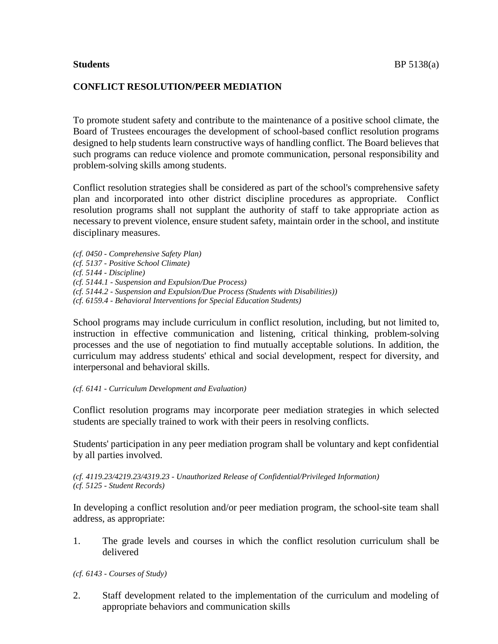# **CONFLICT RESOLUTION/PEER MEDIATION**

To promote student safety and contribute to the maintenance of a positive school climate, the Board of Trustees encourages the development of school-based conflict resolution programs designed to help students learn constructive ways of handling conflict. The Board believes that such programs can reduce violence and promote communication, personal responsibility and problem-solving skills among students.

Conflict resolution strategies shall be considered as part of the school's comprehensive safety plan and incorporated into other district discipline procedures as appropriate. Conflict resolution programs shall not supplant the authority of staff to take appropriate action as necessary to prevent violence, ensure student safety, maintain order in the school, and institute disciplinary measures.

*(cf. 0450 - Comprehensive Safety Plan) (cf. 5137 - Positive School Climate) (cf. 5144 - Discipline) (cf. 5144.1 - Suspension and Expulsion/Due Process) (cf. 5144.2 - Suspension and Expulsion/Due Process (Students with Disabilities)) (cf. 6159.4 - Behavioral Interventions for Special Education Students)*

School programs may include curriculum in conflict resolution, including, but not limited to, instruction in effective communication and listening, critical thinking, problem-solving processes and the use of negotiation to find mutually acceptable solutions. In addition, the curriculum may address students' ethical and social development, respect for diversity, and interpersonal and behavioral skills.

#### *(cf. 6141 - Curriculum Development and Evaluation)*

Conflict resolution programs may incorporate peer mediation strategies in which selected students are specially trained to work with their peers in resolving conflicts.

Students' participation in any peer mediation program shall be voluntary and kept confidential by all parties involved.

#### *(cf. 4119.23/4219.23/4319.23 - Unauthorized Release of Confidential/Privileged Information) (cf. 5125 - Student Records)*

In developing a conflict resolution and/or peer mediation program, the school-site team shall address, as appropriate:

1. The grade levels and courses in which the conflict resolution curriculum shall be delivered

*(cf. 6143 - Courses of Study)*

2. Staff development related to the implementation of the curriculum and modeling of appropriate behaviors and communication skills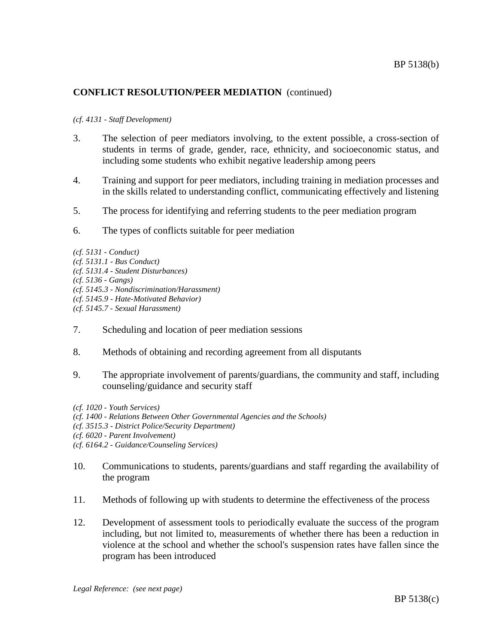# **CONFLICT RESOLUTION/PEER MEDIATION** (continued)

### *(cf. 4131 - Staff Development)*

- 3. The selection of peer mediators involving, to the extent possible, a cross-section of students in terms of grade, gender, race, ethnicity, and socioeconomic status, and including some students who exhibit negative leadership among peers
- 4. Training and support for peer mediators, including training in mediation processes and in the skills related to understanding conflict, communicating effectively and listening
- 5. The process for identifying and referring students to the peer mediation program
- 6. The types of conflicts suitable for peer mediation

*(cf. 5131 - Conduct) (cf. 5131.1 - Bus Conduct) (cf. 5131.4 - Student Disturbances) (cf. 5136 - Gangs) (cf. 5145.3 - Nondiscrimination/Harassment) (cf. 5145.9 - Hate-Motivated Behavior) (cf. 5145.7 - Sexual Harassment)*

- 7. Scheduling and location of peer mediation sessions
- 8. Methods of obtaining and recording agreement from all disputants
- 9. The appropriate involvement of parents/guardians, the community and staff, including counseling/guidance and security staff

- 10. Communications to students, parents/guardians and staff regarding the availability of the program
- 11. Methods of following up with students to determine the effectiveness of the process
- 12. Development of assessment tools to periodically evaluate the success of the program including, but not limited to, measurements of whether there has been a reduction in violence at the school and whether the school's suspension rates have fallen since the program has been introduced

*<sup>(</sup>cf. 1020 - Youth Services)*

*<sup>(</sup>cf. 1400 - Relations Between Other Governmental Agencies and the Schools)*

*<sup>(</sup>cf. 3515.3 - District Police/Security Department)*

*<sup>(</sup>cf. 6020 - Parent Involvement)*

*<sup>(</sup>cf. 6164.2 - Guidance/Counseling Services)*